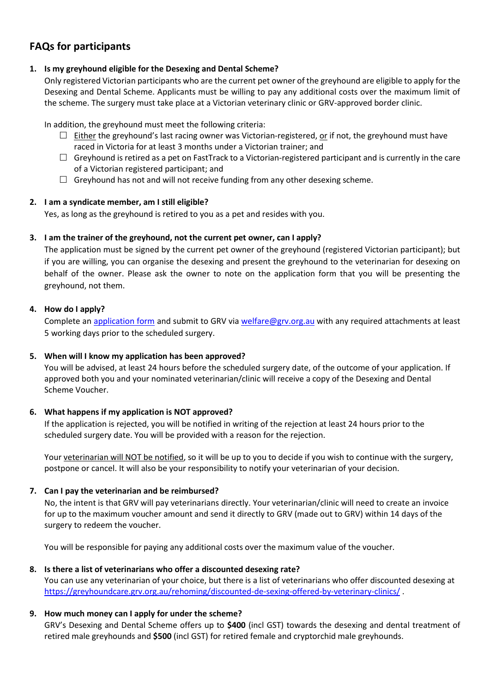# **FAQs for participants**

### **1. Is my greyhound eligible for the Desexing and Dental Scheme?**

Only registered Victorian participants who are the current pet owner of the greyhound are eligible to apply for the Desexing and Dental Scheme. Applicants must be willing to pay any additional costs over the maximum limit of the scheme. The surgery must take place at a Victorian veterinary clinic or GRV-approved border clinic.

In addition, the greyhound must meet the following criteria:

- $\Box$  Either the greyhound's last racing owner was Victorian-registered, or if not, the greyhound must have raced in Victoria for at least 3 months under a Victorian trainer; and
- $\Box$  Greyhound is retired as a pet on FastTrack to a Victorian-registered participant and is currently in the care of a Victorian registered participant; and
- $\Box$  Greyhound has not and will not receive funding from any other desexing scheme.

# **2. I am a syndicate member, am I still eligible?**

Yes, as long as the greyhound is retired to you as a pet and resides with you.

# **3. I am the trainer of the greyhound, not the current pet owner, can I apply?**

The application must be signed by the current pet owner of the greyhound (registered Victorian participant); but if you are willing, you can organise the desexing and present the greyhound to the veterinarian for desexing on behalf of the owner. Please ask the owner to note on the application form that you will be presenting the greyhound, not them.

# **4. How do I apply?**

Complete an [application form](https://greyhoundcare.grv.org.au/wp-content/uploads/2021/06/GRV-Desexing-and-Dental-Scheme-Application-Form.pdf) and submit to GRV via [welfare@grv.org.au](mailto:welfare@grv.org.au) with any required attachments at least 5 working days prior to the scheduled surgery.

### **5. When will I know my application has been approved?**

You will be advised, at least 24 hours before the scheduled surgery date, of the outcome of your application. If approved both you and your nominated veterinarian/clinic will receive a copy of the Desexing and Dental Scheme Voucher.

### **6. What happens if my application is NOT approved?**

If the application is rejected, you will be notified in writing of the rejection at least 24 hours prior to the scheduled surgery date. You will be provided with a reason for the rejection.

Your veterinarian will NOT be notified, so it will be up to you to decide if you wish to continue with the surgery, postpone or cancel. It will also be your responsibility to notify your veterinarian of your decision.

### **7. Can I pay the veterinarian and be reimbursed?**

No, the intent is that GRV will pay veterinarians directly. Your veterinarian/clinic will need to create an invoice for up to the maximum voucher amount and send it directly to GRV (made out to GRV) within 14 days of the surgery to redeem the voucher.

You will be responsible for paying any additional costs over the maximum value of the voucher.

### **8. Is there a list of veterinarians who offer a discounted desexing rate?**

You can use any veterinarian of your choice, but there is a list of veterinarians who offer discounted desexing at <https://greyhoundcare.grv.org.au/rehoming/discounted-de-sexing-offered-by-veterinary-clinics/> .

# **9. How much money can I apply for under the scheme?**

GRV's Desexing and Dental Scheme offers up to **\$400** (incl GST) towards the desexing and dental treatment of retired male greyhounds and **\$500** (incl GST) for retired female and cryptorchid male greyhounds.